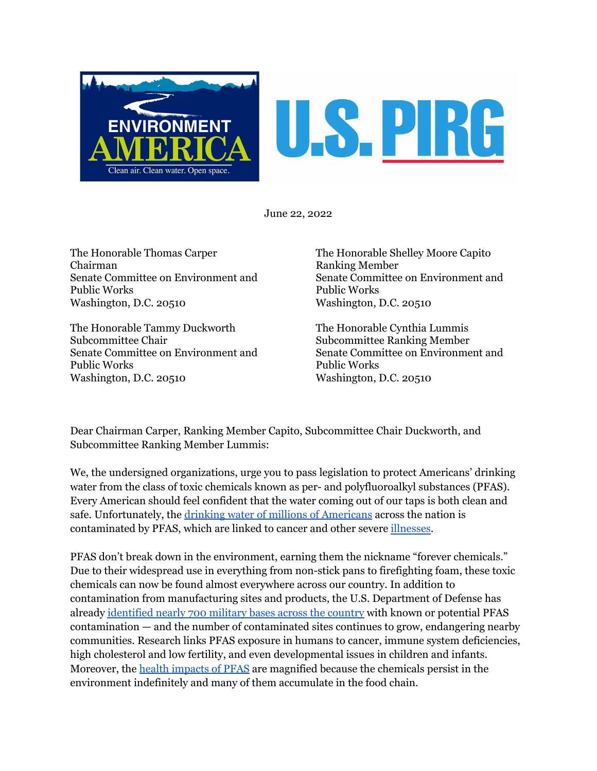

June 22, 2022

The Honorable Thomas Carper Chairman Senate Committee on Environment and Public Works Washington, D.C. 20510

The Honorable Tammy Duckworth Subcommittee Chair Senate Committee on Environment and Public Works Washington, D.C. 20510

The Honorable Shelley Moore Capito Ranking Member Senate Committee on Environment and Public Works Washington, D.C. 20510

The Honorable Cynthia Lummis Subcommittee Ranking Member Senate Committee on Environment and Public Works Washington, D.C. 20510

Dear Chairman Carper, Ranking Member Capito, Subcommittee Chair Duckworth, and Subcommittee Ranking Member Lummis:

We, the undersigned organizations, urge you to pass legislation to protect Americans' drinking water from the class of toxic chemicals known as per- and polyfluoroalkyl substances (PFAS). Every American should feel confident that the water coming out of our taps is both clean and safe. Unfortunately, the drinking water of millions of [Americans](https://www.scientificamerican.com/article/forever-chemicals-are-widespread-in-u-s-drinking-water/#:~:text=The%20scientists%20estimated%20that%20more,trillion%20(ppt)%20or%20higher.) across the nation is contaminated by PFAS, which are linked to cancer and other severe [illnesses.](https://www.atsdr.cdc.gov/pfas/health-effects/index.html?CDC_AA_refVal=https%3A%2F%2Fwww.atsdr.cdc.gov%2Fpfas%2Fhealth-effects.html)

PFAS don't break down in the environment, earning them the nickname "forever chemicals." Due to their widespread use in everything from non-stick pans to firefighting foam, these toxic chemicals can now be found almost everywhere across our country. In addition to contamination from manufacturing sites and products, the U.S. Department of Defense has already [identified](https://www.defense.gov/Spotlights/pfas/) nearly 700 military bases across the country with known or potential PFAS contamination — and the number of contaminated sites continues to grow, endangering nearby communities. Research links PFAS exposure in humans to cancer, immune system deficiencies, high cholesterol and low fertility, and even developmental issues in children and infants. Moreover, the health [impacts](https://www.epa.gov/pfas/our-current-understanding-human-health-and-environmental-risks-pfas) of PFAS are magnified because the chemicals persist in the environment indefinitely and many of them accumulate in the food chain.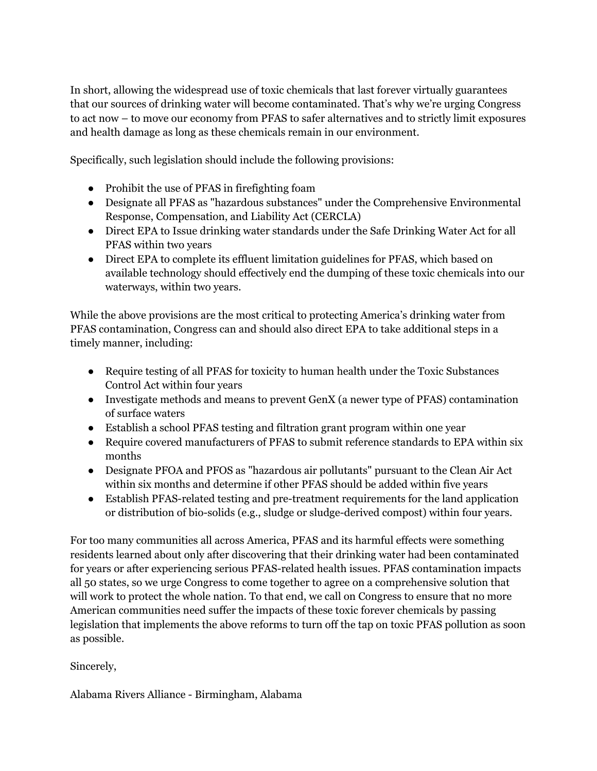In short, allowing the widespread use of toxic chemicals that last forever virtually guarantees that our sources of drinking water will become contaminated. That's why we're urging Congress to act now – to move our economy from PFAS to safer alternatives and to strictly limit exposures and health damage as long as these chemicals remain in our environment.

Specifically, such legislation should include the following provisions:

- Prohibit the use of PFAS in firefighting foam
- Designate all PFAS as "hazardous substances" under the Comprehensive Environmental Response, Compensation, and Liability Act (CERCLA)
- Direct EPA to Issue drinking water standards under the Safe Drinking Water Act for all PFAS within two years
- Direct EPA to complete its effluent limitation guidelines for PFAS, which based on available technology should effectively end the dumping of these toxic chemicals into our waterways, within two years.

While the above provisions are the most critical to protecting America's drinking water from PFAS contamination, Congress can and should also direct EPA to take additional steps in a timely manner, including:

- Require testing of all PFAS for toxicity to human health under the Toxic Substances Control Act within four years
- Investigate methods and means to prevent GenX (a newer type of PFAS) contamination of surface waters
- Establish a school PFAS testing and filtration grant program within one year
- Require covered manufacturers of PFAS to submit reference standards to EPA within six months
- Designate PFOA and PFOS as "hazardous air pollutants" pursuant to the Clean Air Act within six months and determine if other PFAS should be added within five years
- Establish PFAS-related testing and pre-treatment requirements for the land application or distribution of bio-solids (e.g., sludge or sludge-derived compost) within four years.

For too many communities all across America, PFAS and its harmful effects were something residents learned about only after discovering that their drinking water had been contaminated for years or after experiencing serious PFAS-related health issues. PFAS contamination impacts all 50 states, so we urge Congress to come together to agree on a comprehensive solution that will work to protect the whole nation. To that end, we call on Congress to ensure that no more American communities need suffer the impacts of these toxic forever chemicals by passing legislation that implements the above reforms to turn off the tap on toxic PFAS pollution as soon as possible.

Sincerely,

Alabama Rivers Alliance - Birmingham, Alabama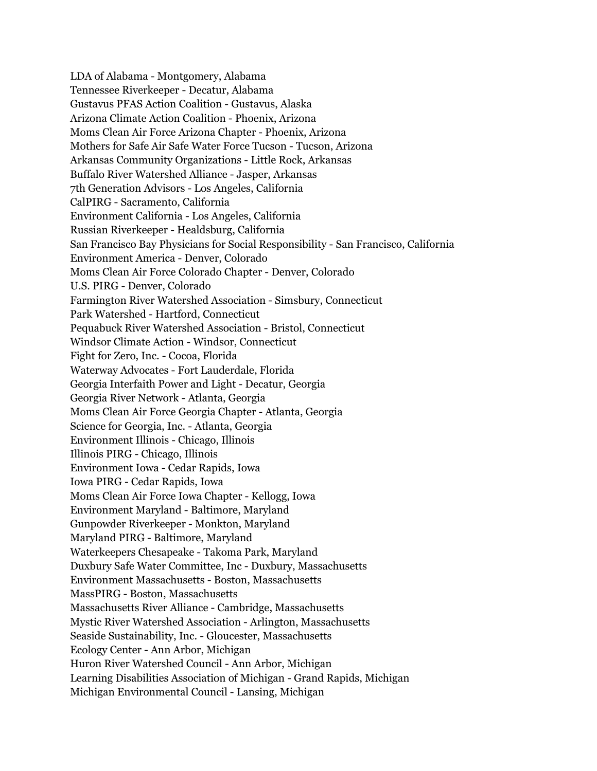LDA of Alabama - Montgomery, Alabama Tennessee Riverkeeper - Decatur, Alabama Gustavus PFAS Action Coalition - Gustavus, Alaska Arizona Climate Action Coalition - Phoenix, Arizona Moms Clean Air Force Arizona Chapter - Phoenix, Arizona Mothers for Safe Air Safe Water Force Tucson - Tucson, Arizona Arkansas Community Organizations - Little Rock, Arkansas Buffalo River Watershed Alliance - Jasper, Arkansas 7th Generation Advisors - Los Angeles, California CalPIRG - Sacramento, California Environment California - Los Angeles, California Russian Riverkeeper - Healdsburg, California San Francisco Bay Physicians for Social Responsibility - San Francisco, California Environment America - Denver, Colorado Moms Clean Air Force Colorado Chapter - Denver, Colorado U.S. PIRG - Denver, Colorado Farmington River Watershed Association - Simsbury, Connecticut Park Watershed - Hartford, Connecticut Pequabuck River Watershed Association - Bristol, Connecticut Windsor Climate Action - Windsor, Connecticut Fight for Zero, Inc. - Cocoa, Florida Waterway Advocates - Fort Lauderdale, Florida Georgia Interfaith Power and Light - Decatur, Georgia Georgia River Network - Atlanta, Georgia Moms Clean Air Force Georgia Chapter - Atlanta, Georgia Science for Georgia, Inc. - Atlanta, Georgia Environment Illinois - Chicago, Illinois Illinois PIRG - Chicago, Illinois Environment Iowa - Cedar Rapids, Iowa Iowa PIRG - Cedar Rapids, Iowa Moms Clean Air Force Iowa Chapter - Kellogg, Iowa Environment Maryland - Baltimore, Maryland Gunpowder Riverkeeper - Monkton, Maryland Maryland PIRG - Baltimore, Maryland Waterkeepers Chesapeake - Takoma Park, Maryland Duxbury Safe Water Committee, Inc - Duxbury, Massachusetts Environment Massachusetts - Boston, Massachusetts MassPIRG - Boston, Massachusetts Massachusetts River Alliance - Cambridge, Massachusetts Mystic River Watershed Association - Arlington, Massachusetts Seaside Sustainability, Inc. - Gloucester, Massachusetts Ecology Center - Ann Arbor, Michigan Huron River Watershed Council - Ann Arbor, Michigan Learning Disabilities Association of Michigan - Grand Rapids, Michigan Michigan Environmental Council - Lansing, Michigan